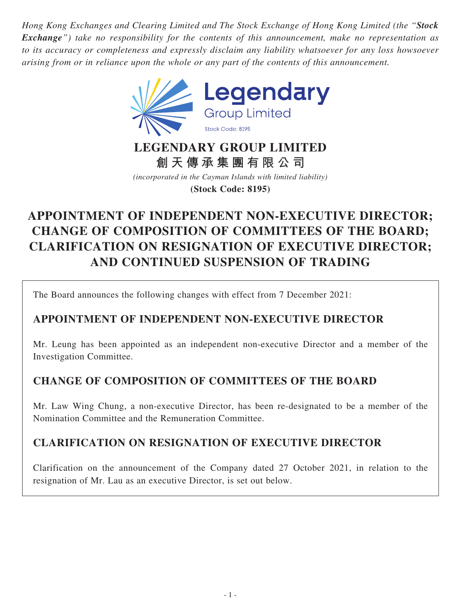*Hong Kong Exchanges and Clearing Limited and The Stock Exchange of Hong Kong Limited (the "Stock Exchange") take no responsibility for the contents of this announcement, make no representation as to its accuracy or completeness and expressly disclaim any liability whatsoever for any loss howsoever arising from or in reliance upon the whole or any part of the contents of this announcement.*



## **LEGENDARY GROUP LIMITED 創天傳承集團有限公司**

*(incorporated in the Cayman Islands with limited liability)* **(Stock Code: 8195)**

# **APPOINTMENT OF INDEPENDENT NON-EXECUTIVE DIRECTOR; CHANGE OF COMPOSITION OF COMMITTEES OF THE BOARD; CLARIFICATION ON RESIGNATION OF EXECUTIVE DIRECTOR; AND CONTINUED SUSPENSION OF TRADING**

The Board announces the following changes with effect from 7 December 2021:

## **APPOINTMENT OF INDEPENDENT NON-EXECUTIVE DIRECTOR**

Mr. Leung has been appointed as an independent non-executive Director and a member of the Investigation Committee.

## **CHANGE OF COMPOSITION OF COMMITTEES OF THE BOARD**

Mr. Law Wing Chung, a non-executive Director, has been re-designated to be a member of the Nomination Committee and the Remuneration Committee.

## **CLARIFICATION ON RESIGNATION OF EXECUTIVE DIRECTOR**

Clarification on the announcement of the Company dated 27 October 2021, in relation to the resignation of Mr. Lau as an executive Director, is set out below.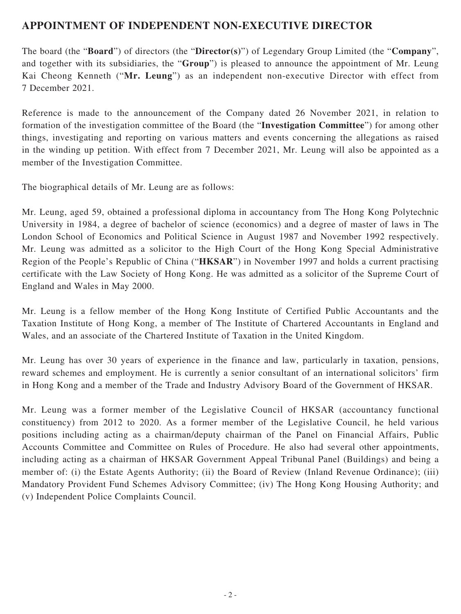### **APPOINTMENT OF INDEPENDENT NON-EXECUTIVE DIRECTOR**

The board (the "**Board**") of directors (the "**Director(s)**") of Legendary Group Limited (the "**Company**", and together with its subsidiaries, the "**Group**") is pleased to announce the appointment of Mr. Leung Kai Cheong Kenneth ("**Mr. Leung**") as an independent non-executive Director with effect from 7 December 2021.

Reference is made to the announcement of the Company dated 26 November 2021, in relation to formation of the investigation committee of the Board (the "**Investigation Committee**") for among other things, investigating and reporting on various matters and events concerning the allegations as raised in the winding up petition. With effect from 7 December 2021, Mr. Leung will also be appointed as a member of the Investigation Committee.

The biographical details of Mr. Leung are as follows:

Mr. Leung, aged 59, obtained a professional diploma in accountancy from The Hong Kong Polytechnic University in 1984, a degree of bachelor of science (economics) and a degree of master of laws in The London School of Economics and Political Science in August 1987 and November 1992 respectively. Mr. Leung was admitted as a solicitor to the High Court of the Hong Kong Special Administrative Region of the People's Republic of China ("**HKSAR**") in November 1997 and holds a current practising certificate with the Law Society of Hong Kong. He was admitted as a solicitor of the Supreme Court of England and Wales in May 2000.

Mr. Leung is a fellow member of the Hong Kong Institute of Certified Public Accountants and the Taxation Institute of Hong Kong, a member of The Institute of Chartered Accountants in England and Wales, and an associate of the Chartered Institute of Taxation in the United Kingdom.

Mr. Leung has over 30 years of experience in the finance and law, particularly in taxation, pensions, reward schemes and employment. He is currently a senior consultant of an international solicitors' firm in Hong Kong and a member of the Trade and Industry Advisory Board of the Government of HKSAR.

Mr. Leung was a former member of the Legislative Council of HKSAR (accountancy functional constituency) from 2012 to 2020. As a former member of the Legislative Council, he held various positions including acting as a chairman/deputy chairman of the Panel on Financial Affairs, Public Accounts Committee and Committee on Rules of Procedure. He also had several other appointments, including acting as a chairman of HKSAR Government Appeal Tribunal Panel (Buildings) and being a member of: (i) the Estate Agents Authority; (ii) the Board of Review (Inland Revenue Ordinance); (iii) Mandatory Provident Fund Schemes Advisory Committee; (iv) The Hong Kong Housing Authority; and (v) Independent Police Complaints Council.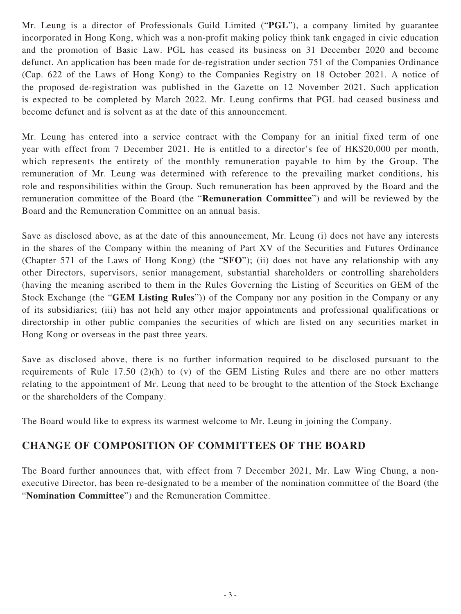Mr. Leung is a director of Professionals Guild Limited ("**PGL**"), a company limited by guarantee incorporated in Hong Kong, which was a non-profit making policy think tank engaged in civic education and the promotion of Basic Law. PGL has ceased its business on 31 December 2020 and become defunct. An application has been made for de-registration under section 751 of the Companies Ordinance (Cap. 622 of the Laws of Hong Kong) to the Companies Registry on 18 October 2021. A notice of the proposed de-registration was published in the Gazette on 12 November 2021. Such application is expected to be completed by March 2022. Mr. Leung confirms that PGL had ceased business and become defunct and is solvent as at the date of this announcement.

Mr. Leung has entered into a service contract with the Company for an initial fixed term of one year with effect from 7 December 2021. He is entitled to a director's fee of HK\$20,000 per month, which represents the entirety of the monthly remuneration payable to him by the Group. The remuneration of Mr. Leung was determined with reference to the prevailing market conditions, his role and responsibilities within the Group. Such remuneration has been approved by the Board and the remuneration committee of the Board (the "**Remuneration Committee**") and will be reviewed by the Board and the Remuneration Committee on an annual basis.

Save as disclosed above, as at the date of this announcement, Mr. Leung (i) does not have any interests in the shares of the Company within the meaning of Part XV of the Securities and Futures Ordinance (Chapter 571 of the Laws of Hong Kong) (the "**SFO**"); (ii) does not have any relationship with any other Directors, supervisors, senior management, substantial shareholders or controlling shareholders (having the meaning ascribed to them in the Rules Governing the Listing of Securities on GEM of the Stock Exchange (the "**GEM Listing Rules**")) of the Company nor any position in the Company or any of its subsidiaries; (iii) has not held any other major appointments and professional qualifications or directorship in other public companies the securities of which are listed on any securities market in Hong Kong or overseas in the past three years.

Save as disclosed above, there is no further information required to be disclosed pursuant to the requirements of Rule 17.50 (2)(h) to (v) of the GEM Listing Rules and there are no other matters relating to the appointment of Mr. Leung that need to be brought to the attention of the Stock Exchange or the shareholders of the Company.

The Board would like to express its warmest welcome to Mr. Leung in joining the Company.

#### **CHANGE OF COMPOSITION OF COMMITTEES OF THE BOARD**

The Board further announces that, with effect from 7 December 2021, Mr. Law Wing Chung, a nonexecutive Director, has been re-designated to be a member of the nomination committee of the Board (the "**Nomination Committee**") and the Remuneration Committee.